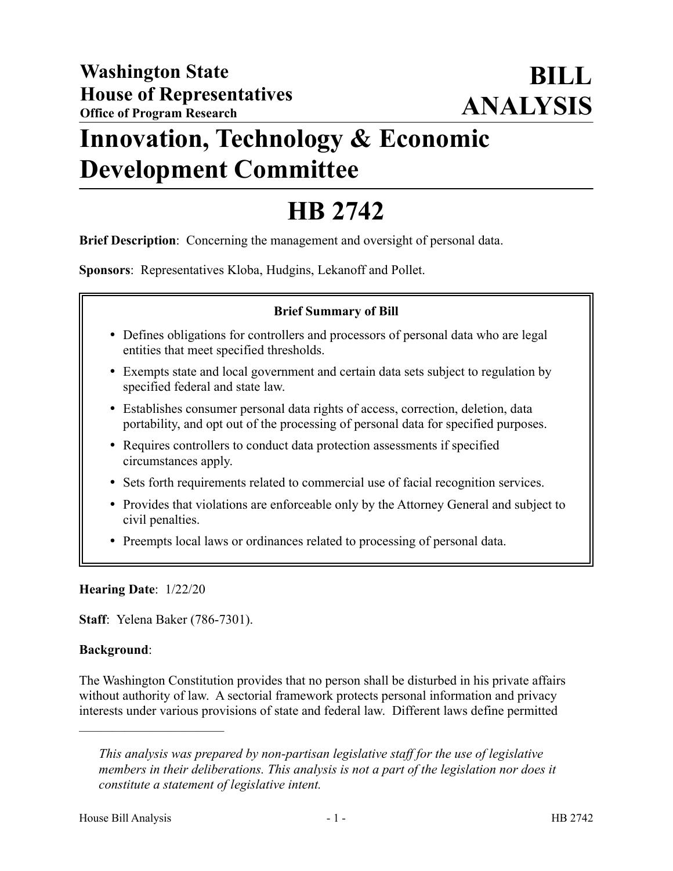# **Innovation, Technology & Economic Development Committee**

# **HB 2742**

**Brief Description**: Concerning the management and oversight of personal data.

**Sponsors**: Representatives Kloba, Hudgins, Lekanoff and Pollet.

#### **Brief Summary of Bill**

- Defines obligations for controllers and processors of personal data who are legal entities that meet specified thresholds.
- Exempts state and local government and certain data sets subject to regulation by specified federal and state law.
- Establishes consumer personal data rights of access, correction, deletion, data portability, and opt out of the processing of personal data for specified purposes.
- Requires controllers to conduct data protection assessments if specified circumstances apply.
- Sets forth requirements related to commercial use of facial recognition services.
- Provides that violations are enforceable only by the Attorney General and subject to civil penalties.
- Preempts local laws or ordinances related to processing of personal data.

#### **Hearing Date**: 1/22/20

––––––––––––––––––––––

**Staff**: Yelena Baker (786-7301).

#### **Background**:

The Washington Constitution provides that no person shall be disturbed in his private affairs without authority of law. A sectorial framework protects personal information and privacy interests under various provisions of state and federal law. Different laws define permitted

*This analysis was prepared by non-partisan legislative staff for the use of legislative members in their deliberations. This analysis is not a part of the legislation nor does it constitute a statement of legislative intent.*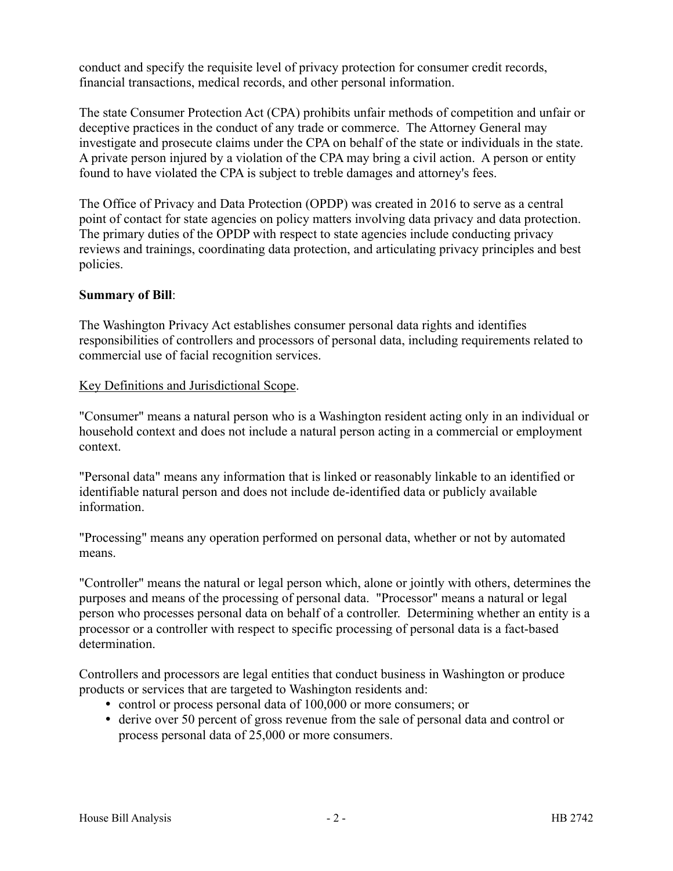conduct and specify the requisite level of privacy protection for consumer credit records, financial transactions, medical records, and other personal information.

The state Consumer Protection Act (CPA) prohibits unfair methods of competition and unfair or deceptive practices in the conduct of any trade or commerce. The Attorney General may investigate and prosecute claims under the CPA on behalf of the state or individuals in the state. A private person injured by a violation of the CPA may bring a civil action. A person or entity found to have violated the CPA is subject to treble damages and attorney's fees.

The Office of Privacy and Data Protection (OPDP) was created in 2016 to serve as a central point of contact for state agencies on policy matters involving data privacy and data protection. The primary duties of the OPDP with respect to state agencies include conducting privacy reviews and trainings, coordinating data protection, and articulating privacy principles and best policies.

#### **Summary of Bill**:

The Washington Privacy Act establishes consumer personal data rights and identifies responsibilities of controllers and processors of personal data, including requirements related to commercial use of facial recognition services.

#### Key Definitions and Jurisdictional Scope.

"Consumer" means a natural person who is a Washington resident acting only in an individual or household context and does not include a natural person acting in a commercial or employment context.

"Personal data" means any information that is linked or reasonably linkable to an identified or identifiable natural person and does not include de-identified data or publicly available information.

"Processing" means any operation performed on personal data, whether or not by automated means.

"Controller" means the natural or legal person which, alone or jointly with others, determines the purposes and means of the processing of personal data. "Processor" means a natural or legal person who processes personal data on behalf of a controller. Determining whether an entity is a processor or a controller with respect to specific processing of personal data is a fact-based determination.

Controllers and processors are legal entities that conduct business in Washington or produce products or services that are targeted to Washington residents and:

- control or process personal data of 100,000 or more consumers; or
- derive over 50 percent of gross revenue from the sale of personal data and control or process personal data of 25,000 or more consumers.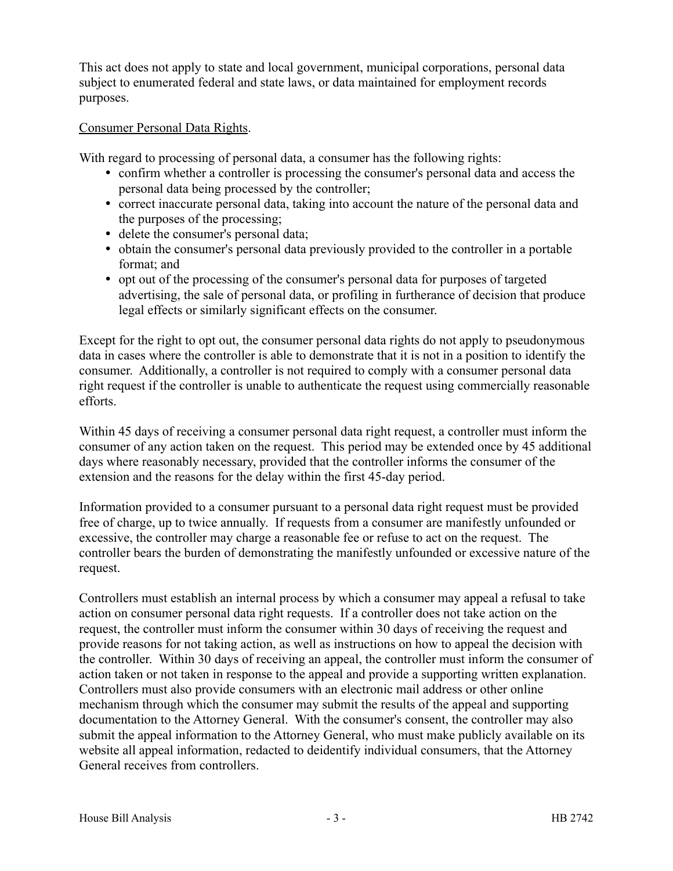This act does not apply to state and local government, municipal corporations, personal data subject to enumerated federal and state laws, or data maintained for employment records purposes.

#### Consumer Personal Data Rights.

With regard to processing of personal data, a consumer has the following rights:

- confirm whether a controller is processing the consumer's personal data and access the personal data being processed by the controller;
- correct inaccurate personal data, taking into account the nature of the personal data and the purposes of the processing;
- delete the consumer's personal data;
- obtain the consumer's personal data previously provided to the controller in a portable format; and
- opt out of the processing of the consumer's personal data for purposes of targeted advertising, the sale of personal data, or profiling in furtherance of decision that produce legal effects or similarly significant effects on the consumer.

Except for the right to opt out, the consumer personal data rights do not apply to pseudonymous data in cases where the controller is able to demonstrate that it is not in a position to identify the consumer. Additionally, a controller is not required to comply with a consumer personal data right request if the controller is unable to authenticate the request using commercially reasonable efforts.

Within 45 days of receiving a consumer personal data right request, a controller must inform the consumer of any action taken on the request. This period may be extended once by 45 additional days where reasonably necessary, provided that the controller informs the consumer of the extension and the reasons for the delay within the first 45-day period.

Information provided to a consumer pursuant to a personal data right request must be provided free of charge, up to twice annually. If requests from a consumer are manifestly unfounded or excessive, the controller may charge a reasonable fee or refuse to act on the request. The controller bears the burden of demonstrating the manifestly unfounded or excessive nature of the request.

Controllers must establish an internal process by which a consumer may appeal a refusal to take action on consumer personal data right requests. If a controller does not take action on the request, the controller must inform the consumer within 30 days of receiving the request and provide reasons for not taking action, as well as instructions on how to appeal the decision with the controller. Within 30 days of receiving an appeal, the controller must inform the consumer of action taken or not taken in response to the appeal and provide a supporting written explanation. Controllers must also provide consumers with an electronic mail address or other online mechanism through which the consumer may submit the results of the appeal and supporting documentation to the Attorney General. With the consumer's consent, the controller may also submit the appeal information to the Attorney General, who must make publicly available on its website all appeal information, redacted to deidentify individual consumers, that the Attorney General receives from controllers.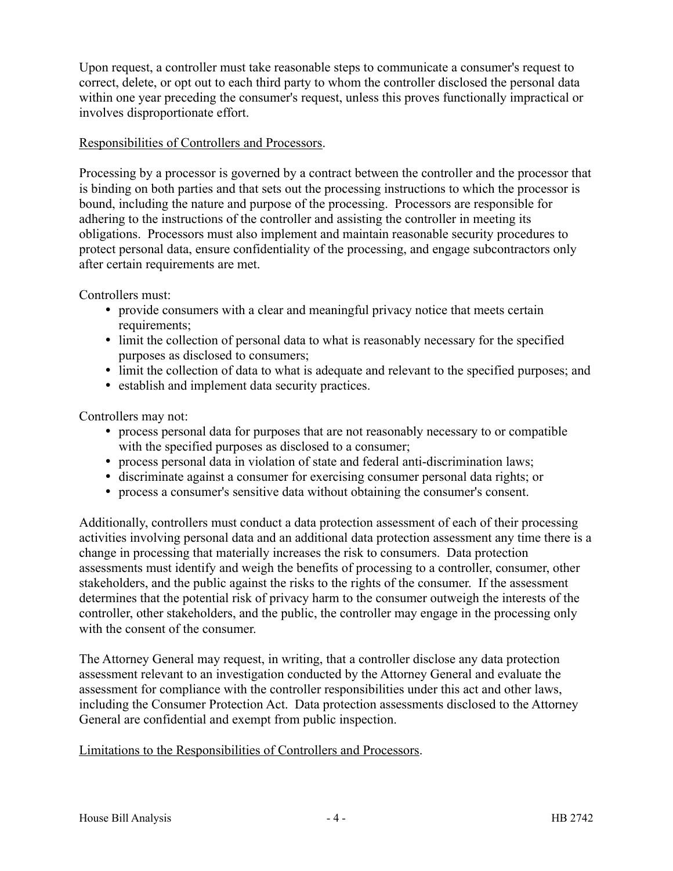Upon request, a controller must take reasonable steps to communicate a consumer's request to correct, delete, or opt out to each third party to whom the controller disclosed the personal data within one year preceding the consumer's request, unless this proves functionally impractical or involves disproportionate effort.

#### Responsibilities of Controllers and Processors.

Processing by a processor is governed by a contract between the controller and the processor that is binding on both parties and that sets out the processing instructions to which the processor is bound, including the nature and purpose of the processing. Processors are responsible for adhering to the instructions of the controller and assisting the controller in meeting its obligations. Processors must also implement and maintain reasonable security procedures to protect personal data, ensure confidentiality of the processing, and engage subcontractors only after certain requirements are met.

Controllers must:

- provide consumers with a clear and meaningful privacy notice that meets certain requirements;
- limit the collection of personal data to what is reasonably necessary for the specified purposes as disclosed to consumers;
- limit the collection of data to what is adequate and relevant to the specified purposes; and
- establish and implement data security practices.

Controllers may not:

- process personal data for purposes that are not reasonably necessary to or compatible with the specified purposes as disclosed to a consumer;
- process personal data in violation of state and federal anti-discrimination laws;
- discriminate against a consumer for exercising consumer personal data rights; or
- process a consumer's sensitive data without obtaining the consumer's consent.

Additionally, controllers must conduct a data protection assessment of each of their processing activities involving personal data and an additional data protection assessment any time there is a change in processing that materially increases the risk to consumers. Data protection assessments must identify and weigh the benefits of processing to a controller, consumer, other stakeholders, and the public against the risks to the rights of the consumer. If the assessment determines that the potential risk of privacy harm to the consumer outweigh the interests of the controller, other stakeholders, and the public, the controller may engage in the processing only with the consent of the consumer.

The Attorney General may request, in writing, that a controller disclose any data protection assessment relevant to an investigation conducted by the Attorney General and evaluate the assessment for compliance with the controller responsibilities under this act and other laws, including the Consumer Protection Act. Data protection assessments disclosed to the Attorney General are confidential and exempt from public inspection.

#### Limitations to the Responsibilities of Controllers and Processors.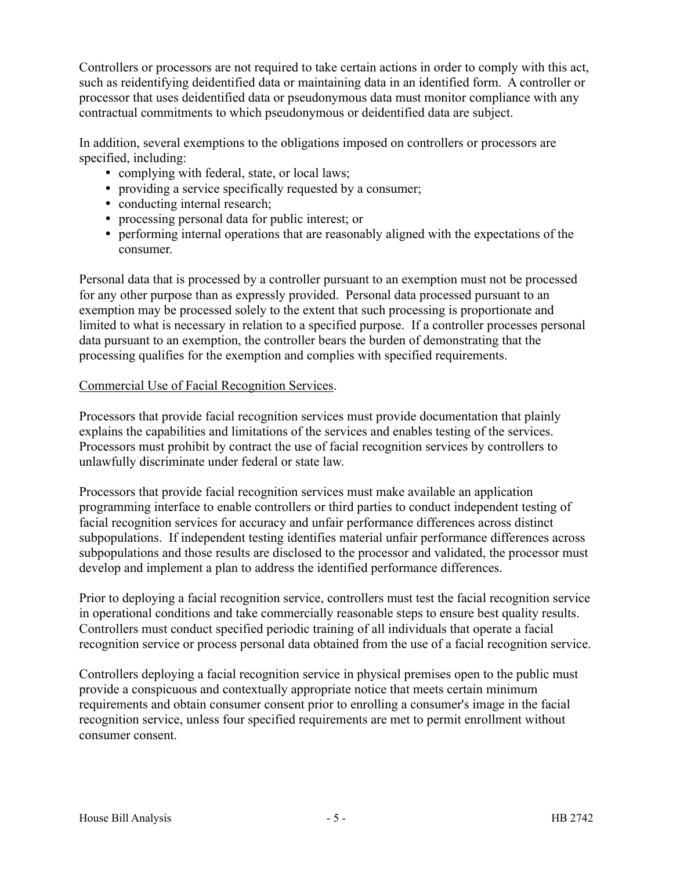Controllers or processors are not required to take certain actions in order to comply with this act, such as reidentifying deidentified data or maintaining data in an identified form. A controller or processor that uses deidentified data or pseudonymous data must monitor compliance with any contractual commitments to which pseudonymous or deidentified data are subject.

In addition, several exemptions to the obligations imposed on controllers or processors are specified, including:

- complying with federal, state, or local laws;
- providing a service specifically requested by a consumer;
- conducting internal research;
- processing personal data for public interest; or
- performing internal operations that are reasonably aligned with the expectations of the consumer.

Personal data that is processed by a controller pursuant to an exemption must not be processed for any other purpose than as expressly provided. Personal data processed pursuant to an exemption may be processed solely to the extent that such processing is proportionate and limited to what is necessary in relation to a specified purpose. If a controller processes personal data pursuant to an exemption, the controller bears the burden of demonstrating that the processing qualifies for the exemption and complies with specified requirements.

# Commercial Use of Facial Recognition Services.

Processors that provide facial recognition services must provide documentation that plainly explains the capabilities and limitations of the services and enables testing of the services. Processors must prohibit by contract the use of facial recognition services by controllers to unlawfully discriminate under federal or state law.

Processors that provide facial recognition services must make available an application programming interface to enable controllers or third parties to conduct independent testing of facial recognition services for accuracy and unfair performance differences across distinct subpopulations. If independent testing identifies material unfair performance differences across subpopulations and those results are disclosed to the processor and validated, the processor must develop and implement a plan to address the identified performance differences.

Prior to deploying a facial recognition service, controllers must test the facial recognition service in operational conditions and take commercially reasonable steps to ensure best quality results. Controllers must conduct specified periodic training of all individuals that operate a facial recognition service or process personal data obtained from the use of a facial recognition service.

Controllers deploying a facial recognition service in physical premises open to the public must provide a conspicuous and contextually appropriate notice that meets certain minimum requirements and obtain consumer consent prior to enrolling a consumer's image in the facial recognition service, unless four specified requirements are met to permit enrollment without consumer consent.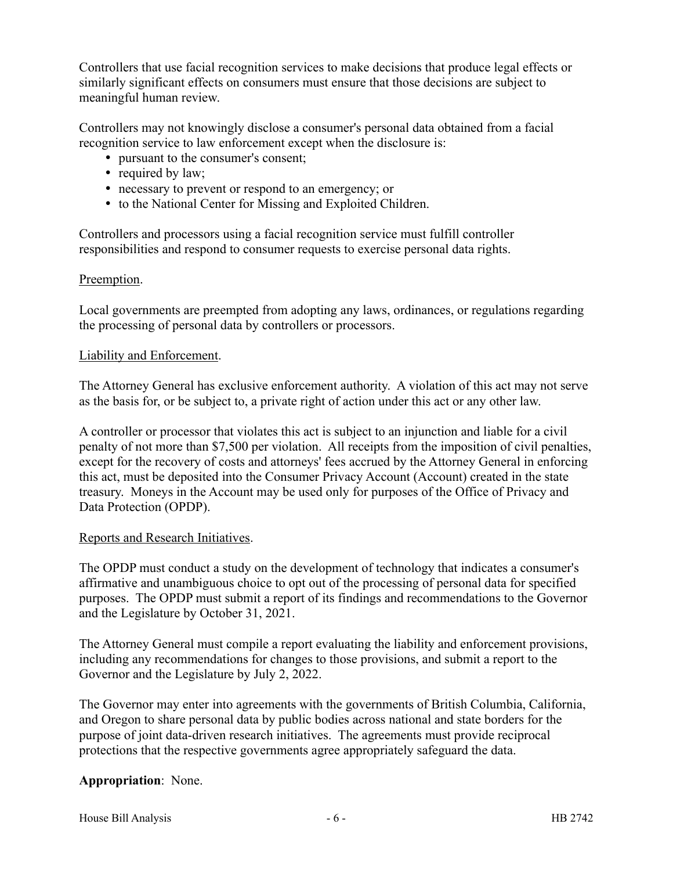Controllers that use facial recognition services to make decisions that produce legal effects or similarly significant effects on consumers must ensure that those decisions are subject to meaningful human review.

Controllers may not knowingly disclose a consumer's personal data obtained from a facial recognition service to law enforcement except when the disclosure is:

- pursuant to the consumer's consent;
- required by law;
- necessary to prevent or respond to an emergency; or
- to the National Center for Missing and Exploited Children.

Controllers and processors using a facial recognition service must fulfill controller responsibilities and respond to consumer requests to exercise personal data rights.

# Preemption.

Local governments are preempted from adopting any laws, ordinances, or regulations regarding the processing of personal data by controllers or processors.

#### Liability and Enforcement.

The Attorney General has exclusive enforcement authority. A violation of this act may not serve as the basis for, or be subject to, a private right of action under this act or any other law.

A controller or processor that violates this act is subject to an injunction and liable for a civil penalty of not more than \$7,500 per violation. All receipts from the imposition of civil penalties, except for the recovery of costs and attorneys' fees accrued by the Attorney General in enforcing this act, must be deposited into the Consumer Privacy Account (Account) created in the state treasury. Moneys in the Account may be used only for purposes of the Office of Privacy and Data Protection (OPDP).

# Reports and Research Initiatives.

The OPDP must conduct a study on the development of technology that indicates a consumer's affirmative and unambiguous choice to opt out of the processing of personal data for specified purposes. The OPDP must submit a report of its findings and recommendations to the Governor and the Legislature by October 31, 2021.

The Attorney General must compile a report evaluating the liability and enforcement provisions, including any recommendations for changes to those provisions, and submit a report to the Governor and the Legislature by July 2, 2022.

The Governor may enter into agreements with the governments of British Columbia, California, and Oregon to share personal data by public bodies across national and state borders for the purpose of joint data-driven research initiatives. The agreements must provide reciprocal protections that the respective governments agree appropriately safeguard the data.

# **Appropriation**: None.